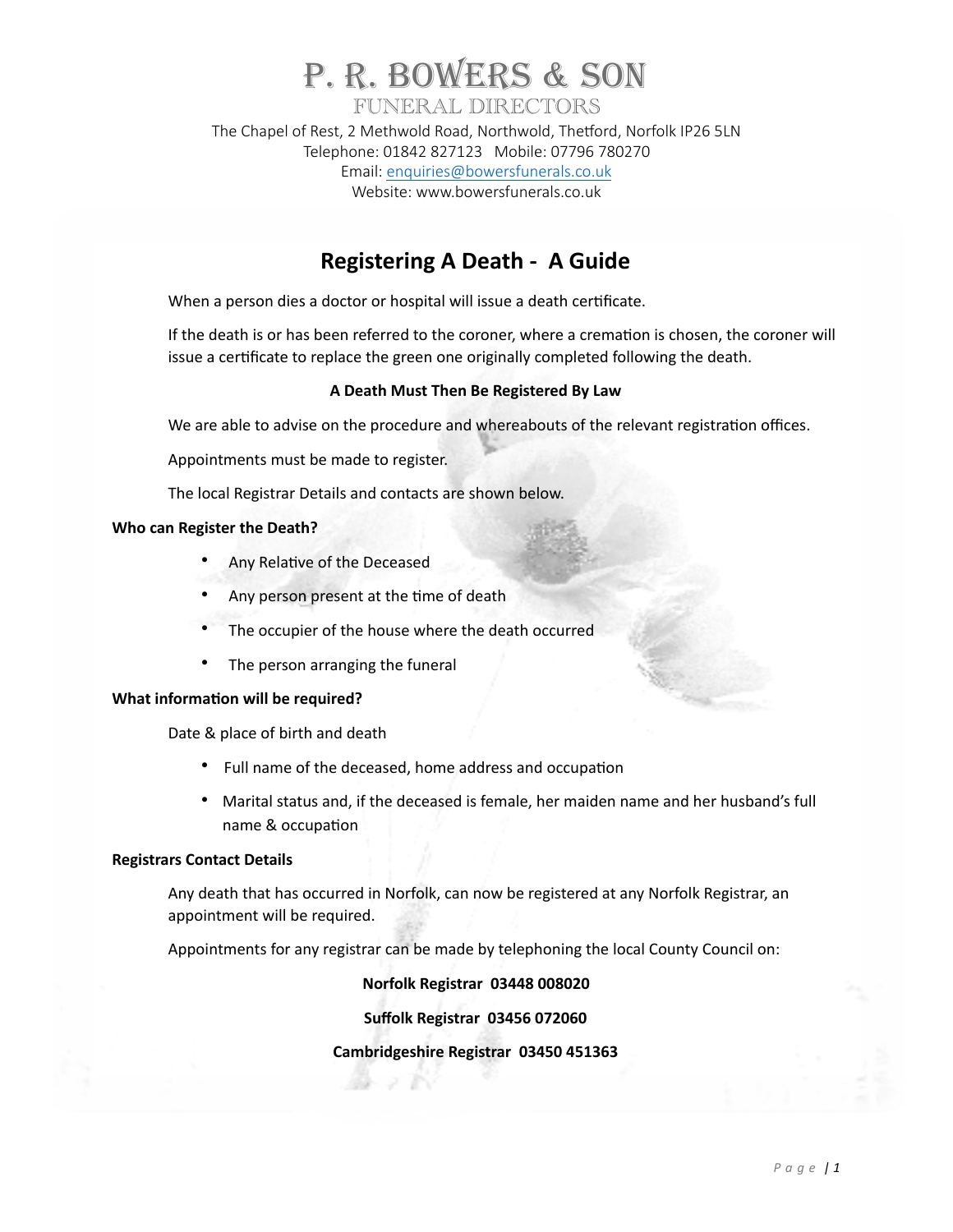# P. R. BOWERS & SON FUNERAL DIRECTORS

The Chapel of Rest, 2 Methwold Road, Northwold, Thetford, Norfolk IP26 5LN Telephone: 01842 827123 Mobile: 07796 780270 Email: [enquiries@bowersfunerals.co.uk](mailto:enquiries@bowersfunerals.co.uk) Website: www.bowersfunerals.co.uk

## **Registering A Death - A Guide**

When a person dies a doctor or hospital will issue a death certificate.

If the death is or has been referred to the coroner, where a cremation is chosen, the coroner will issue a certificate to replace the green one originally completed following the death.

### **A Death Must Then Be Registered By Law**

We are able to advise on the procedure and whereabouts of the relevant registration offices.

Appointments must be made to register.

The local Registrar Details and contacts are shown below.

#### **Who can Register the Death?**

- Any Relative of the Deceased
- Any person present at the time of death
- The occupier of the house where the death occurred
- The person arranging the funeral

#### **What information will be required?**

Date & place of birth and death

- Full name of the deceased, home address and occupation
- Marital status and, if the deceased is female, her maiden name and her husband's full name & occupation

#### **Registrars Contact Details**

Any death that has occurred in Norfolk, can now be registered at any Norfolk Registrar, an appointment will be required.

Appointments for any registrar can be made by telephoning the local County Council on:

### **Norfolk Registrar 03448 008020**

**Suffolk Registrar 03456 072060** 

### **Cambridgeshire Registrar 03450 451363**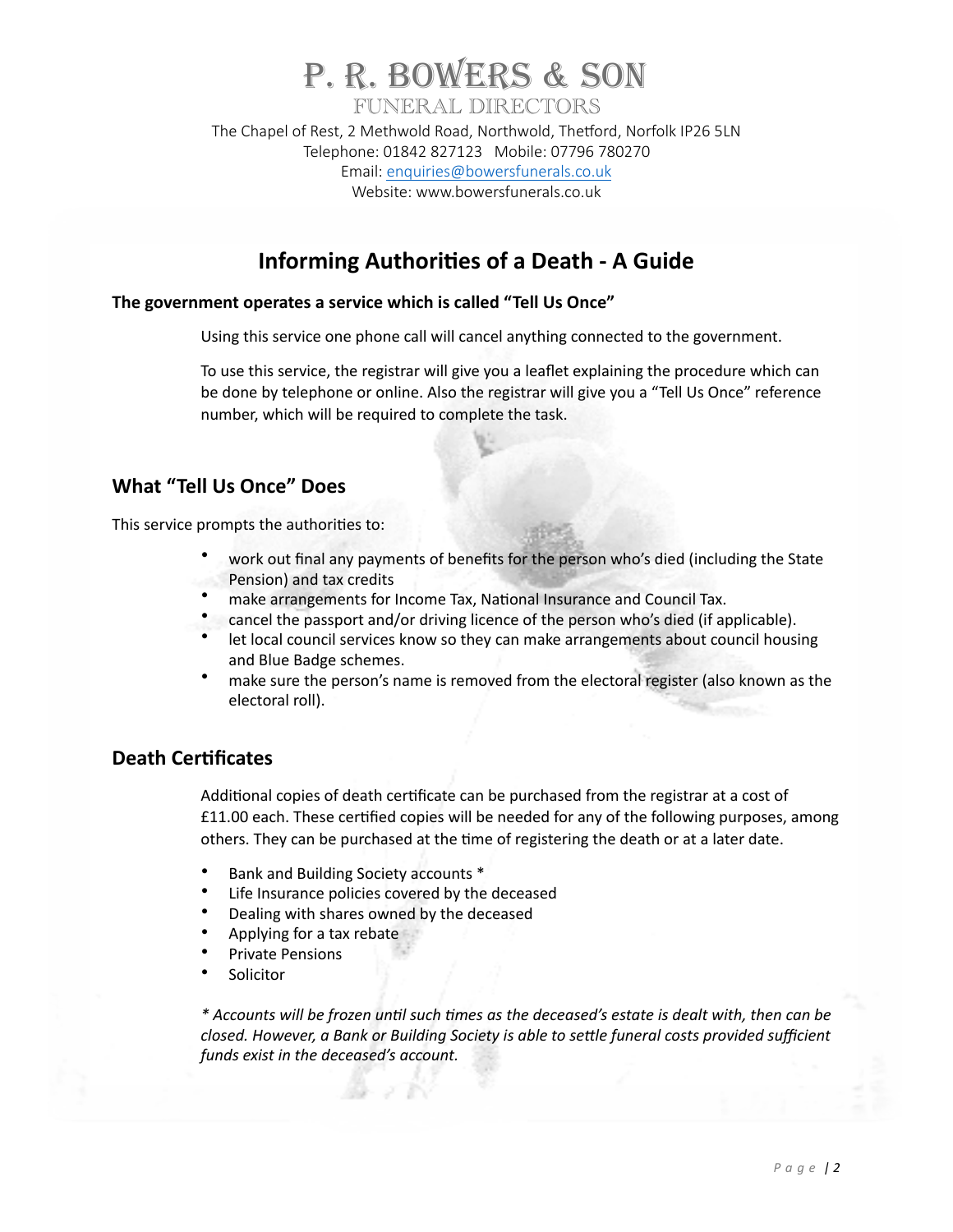# P. R. BOWERS & SON FUNERAL DIRECTORS The Chapel of Rest, 2 Methwold Road, Northwold, Thetford, Norfolk IP26 5LN

Telephone: 01842 827123 Mobile: 07796 780270 Email: [enquiries@bowersfunerals.co.uk](mailto:enquiries@bowersfunerals.co.uk) Website: www.bowersfunerals.co.uk

## **Informing Authorities of a Death - A Guide**

### The government operates a service which is called "Tell Us Once"

Using this service one phone call will cancel anything connected to the government.

To use this service, the registrar will give you a leaflet explaining the procedure which can be done by telephone or online. Also the registrar will give you a "Tell Us Once" reference number, which will be required to complete the task.

### **What "Tell Us Once" Does**

This service prompts the authorities to:

- work out final any payments of benefits for the person who's died (including the State Pension) and tax credits
- make arrangements for Income Tax, National Insurance and Council Tax.
- cancel the passport and/or driving licence of the person who's died (if applicable).
- let local council services know so they can make arrangements about council housing and Blue Badge schemes.
- make sure the person's name is removed from the electoral register (also known as the electoral roll).

### **Death Certificates**

Additional copies of death certificate can be purchased from the registrar at a cost of £11.00 each. These certified copies will be needed for any of the following purposes, among others. They can be purchased at the time of registering the death or at a later date.

- Bank and Building Society accounts \*
- Life Insurance policies covered by the deceased
- Dealing with shares owned by the deceased
- Applying for a tax rebate
- Private Pensions
- **Solicitor**

*\* Accounts will be frozen un8l such 8mes as the deceased's estate is dealt with, then can be closed. However, a Bank or Building Society is able to settle funeral costs provided sufficient funds exist in the deceased's account.*